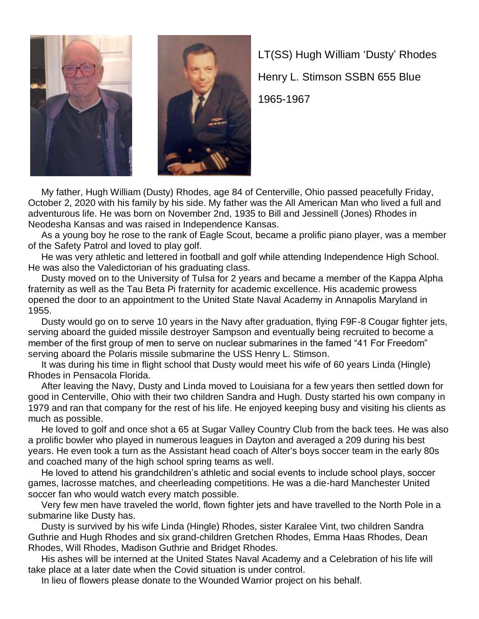

LT(SS) Hugh William "Dusty" Rhodes Henry L. Stimson SSBN 655 Blue 1965-1967

 My father, Hugh William (Dusty) Rhodes, age 84 of Centerville, Ohio passed peacefully Friday, October 2, 2020 with his family by his side. My father was the All American Man who lived a full and adventurous life. He was born on November 2nd, 1935 to Bill and Jessinell (Jones) Rhodes in Neodesha Kansas and was raised in Independence Kansas.

 As a young boy he rose to the rank of Eagle Scout, became a prolific piano player, was a member of the Safety Patrol and loved to play golf.

 He was very athletic and lettered in football and golf while attending Independence High School. He was also the Valedictorian of his graduating class.

 Dusty moved on to the University of Tulsa for 2 years and became a member of the Kappa Alpha fraternity as well as the Tau Beta Pi fraternity for academic excellence. His academic prowess opened the door to an appointment to the United State Naval Academy in Annapolis Maryland in 1955.

 Dusty would go on to serve 10 years in the Navy after graduation, flying F9F-8 Cougar fighter jets, serving aboard the guided missile destroyer Sampson and eventually being recruited to become a member of the first group of men to serve on nuclear submarines in the famed "41 For Freedom" serving aboard the Polaris missile submarine the USS Henry L. Stimson.

 It was during his time in flight school that Dusty would meet his wife of 60 years Linda (Hingle) Rhodes in Pensacola Florida.

 After leaving the Navy, Dusty and Linda moved to Louisiana for a few years then settled down for good in Centerville, Ohio with their two children Sandra and Hugh. Dusty started his own company in 1979 and ran that company for the rest of his life. He enjoyed keeping busy and visiting his clients as much as possible.

 He loved to golf and once shot a 65 at Sugar Valley Country Club from the back tees. He was also a prolific bowler who played in numerous leagues in Dayton and averaged a 209 during his best years. He even took a turn as the Assistant head coach of Alter's boys soccer team in the early 80s and coached many of the high school spring teams as well.

He loved to attend his grandchildren's athletic and social events to include school plays, soccer games, lacrosse matches, and cheerleading competitions. He was a die-hard Manchester United soccer fan who would watch every match possible.

 Very few men have traveled the world, flown fighter jets and have travelled to the North Pole in a submarine like Dusty has.

 Dusty is survived by his wife Linda (Hingle) Rhodes, sister Karalee Vint, two children Sandra Guthrie and Hugh Rhodes and six grand-children Gretchen Rhodes, Emma Haas Rhodes, Dean Rhodes, Will Rhodes, Madison Guthrie and Bridget Rhodes.

 His ashes will be interned at the United States Naval Academy and a Celebration of his life will take place at a later date when the Covid situation is under control.

In lieu of flowers please donate to the Wounded Warrior project on his behalf.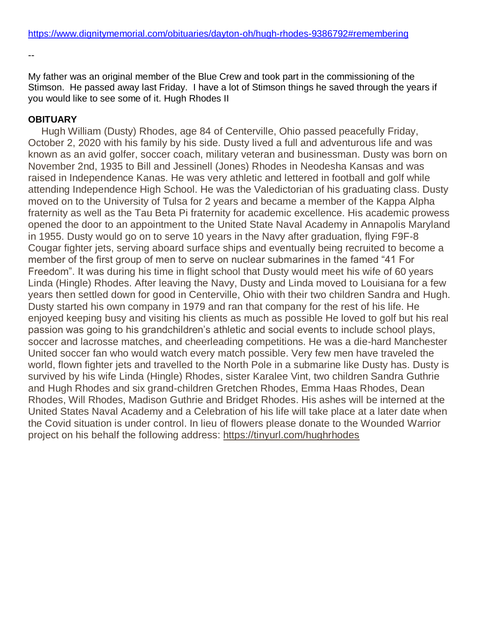--

My father was an original member of the Blue Crew and took part in the commissioning of the Stimson. He passed away last Friday. I have a lot of Stimson things he saved through the years if you would like to see some of it. Hugh Rhodes II

## **OBITUARY**

Hugh William (Dusty) Rhodes, age 84 of Centerville, Ohio passed peacefully Friday, October 2, 2020 with his family by his side. Dusty lived a full and adventurous life and was known as an avid golfer, soccer coach, military veteran and businessman. Dusty was born on November 2nd, 1935 to Bill and Jessinell (Jones) Rhodes in Neodesha Kansas and was raised in Independence Kanas. He was very athletic and lettered in football and golf while attending Independence High School. He was the Valedictorian of his graduating class. Dusty moved on to the University of Tulsa for 2 years and became a member of the Kappa Alpha fraternity as well as the Tau Beta Pi fraternity for academic excellence. His academic prowess opened the door to an appointment to the United State Naval Academy in Annapolis Maryland in 1955. Dusty would go on to serve 10 years in the Navy after graduation, flying F9F-8 Cougar fighter jets, serving aboard surface ships and eventually being recruited to become a member of the first group of men to serve on nuclear submarines in the famed "41 For Freedom". It was during his time in flight school that Dusty would meet his wife of 60 years Linda (Hingle) Rhodes. After leaving the Navy, Dusty and Linda moved to Louisiana for a few years then settled down for good in Centerville, Ohio with their two children Sandra and Hugh. Dusty started his own company in 1979 and ran that company for the rest of his life. He enjoyed keeping busy and visiting his clients as much as possible He loved to golf but his real passion was going to his grandchildren"s athletic and social events to include school plays, soccer and lacrosse matches, and cheerleading competitions. He was a die-hard Manchester United soccer fan who would watch every match possible. Very few men have traveled the world, flown fighter jets and travelled to the North Pole in a submarine like Dusty has. Dusty is survived by his wife Linda (Hingle) Rhodes, sister Karalee Vint, two children Sandra Guthrie and Hugh Rhodes and six grand-children Gretchen Rhodes, Emma Haas Rhodes, Dean Rhodes, Will Rhodes, Madison Guthrie and Bridget Rhodes. His ashes will be interned at the United States Naval Academy and a Celebration of his life will take place at a later date when the Covid situation is under control. In lieu of flowers please donate to the Wounded Warrior project on his behalf the following address: <https://tinyurl.com/hughrhodes>